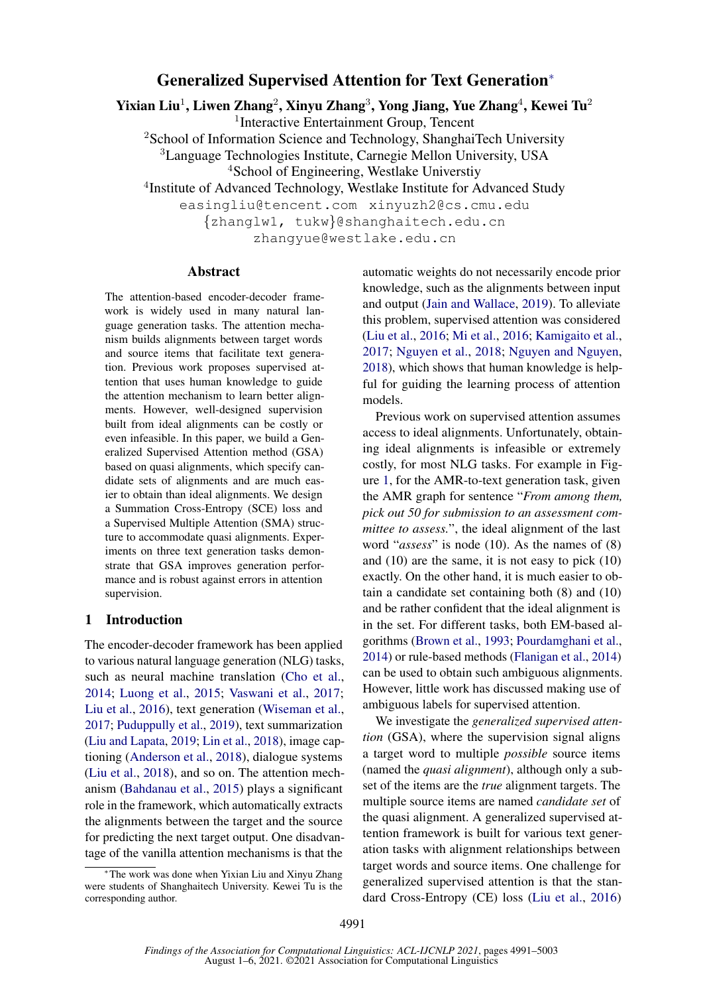# Generalized Supervised Attention for Text Generation<sup>∗</sup>

Yixian Liu<sup>1</sup>, Liwen Zhang<sup>2</sup>, Xinyu Zhang<sup>3</sup>, Yong Jiang, Yue Zhang<sup>4</sup>, Kewei Tu<sup>2</sup>

1 Interactive Entertainment Group, Tencent

<sup>2</sup>School of Information Science and Technology, ShanghaiTech University <sup>3</sup>Language Technologies Institute, Carnegie Mellon University, USA

<sup>4</sup>School of Engineering, Westlake Universtiy

4 Institute of Advanced Technology, Westlake Institute for Advanced Study

easingliu@tencent.com xinyuzh2@cs.cmu.edu {zhanglw1, tukw}@shanghaitech.edu.cn

zhangyue@westlake.edu.cn

### Abstract

The attention-based encoder-decoder framework is widely used in many natural language generation tasks. The attention mechanism builds alignments between target words and source items that facilitate text generation. Previous work proposes supervised attention that uses human knowledge to guide the attention mechanism to learn better alignments. However, well-designed supervision built from ideal alignments can be costly or even infeasible. In this paper, we build a Generalized Supervised Attention method (GSA) based on quasi alignments, which specify candidate sets of alignments and are much easier to obtain than ideal alignments. We design a Summation Cross-Entropy (SCE) loss and a Supervised Multiple Attention (SMA) structure to accommodate quasi alignments. Experiments on three text generation tasks demonstrate that GSA improves generation performance and is robust against errors in attention supervision.

### 1 Introduction

The encoder-decoder framework has been applied to various natural language generation (NLG) tasks, such as neural machine translation [\(Cho et al.,](#page-9-0) [2014;](#page-9-0) [Luong et al.,](#page-9-1) [2015;](#page-9-1) [Vaswani et al.,](#page-10-0) [2017;](#page-10-0) [Liu et al.,](#page-9-2) [2016\)](#page-9-2), text generation [\(Wiseman et al.,](#page-10-1) [2017;](#page-10-1) [Puduppully et al.,](#page-10-2) [2019\)](#page-10-2), text summarization [\(Liu and Lapata,](#page-9-3) [2019;](#page-9-3) [Lin et al.,](#page-9-4) [2018\)](#page-9-4), image captioning [\(Anderson et al.,](#page-8-0) [2018\)](#page-8-0), dialogue systems [\(Liu et al.,](#page-9-5) [2018\)](#page-9-5), and so on. The attention mechanism [\(Bahdanau et al.,](#page-8-1) [2015\)](#page-8-1) plays a significant role in the framework, which automatically extracts the alignments between the target and the source for predicting the next target output. One disadvantage of the vanilla attention mechanisms is that the

automatic weights do not necessarily encode prior knowledge, such as the alignments between input and output [\(Jain and Wallace,](#page-9-6) [2019\)](#page-9-6). To alleviate this problem, supervised attention was considered [\(Liu et al.,](#page-9-2) [2016;](#page-9-2) [Mi et al.,](#page-10-3) [2016;](#page-10-3) [Kamigaito et al.,](#page-9-7) [2017;](#page-9-7) [Nguyen et al.,](#page-10-4) [2018;](#page-10-4) [Nguyen and Nguyen,](#page-10-5) [2018\)](#page-10-5), which shows that human knowledge is helpful for guiding the learning process of attention models.

Previous work on supervised attention assumes access to ideal alignments. Unfortunately, obtaining ideal alignments is infeasible or extremely costly, for most NLG tasks. For example in Figure [1,](#page-1-0) for the AMR-to-text generation task, given the AMR graph for sentence "*From among them, pick out 50 for submission to an assessment committee to assess.*", the ideal alignment of the last word "*assess*" is node (10). As the names of (8) and (10) are the same, it is not easy to pick (10) exactly. On the other hand, it is much easier to obtain a candidate set containing both (8) and (10) and be rather confident that the ideal alignment is in the set. For different tasks, both EM-based algorithms [\(Brown et al.,](#page-9-8) [1993;](#page-9-8) [Pourdamghani et al.,](#page-10-6) [2014\)](#page-10-6) or rule-based methods [\(Flanigan et al.,](#page-9-9) [2014\)](#page-9-9) can be used to obtain such ambiguous alignments. However, little work has discussed making use of ambiguous labels for supervised attention.

We investigate the *generalized supervised attention* (GSA), where the supervision signal aligns a target word to multiple *possible* source items (named the *quasi alignment*), although only a subset of the items are the *true* alignment targets. The multiple source items are named *candidate set* of the quasi alignment. A generalized supervised attention framework is built for various text generation tasks with alignment relationships between target words and source items. One challenge for generalized supervised attention is that the standard Cross-Entropy (CE) loss [\(Liu et al.,](#page-9-2) [2016\)](#page-9-2)

The work was done when Yixian Liu and Xinyu Zhang were students of Shanghaitech University. Kewei Tu is the corresponding author.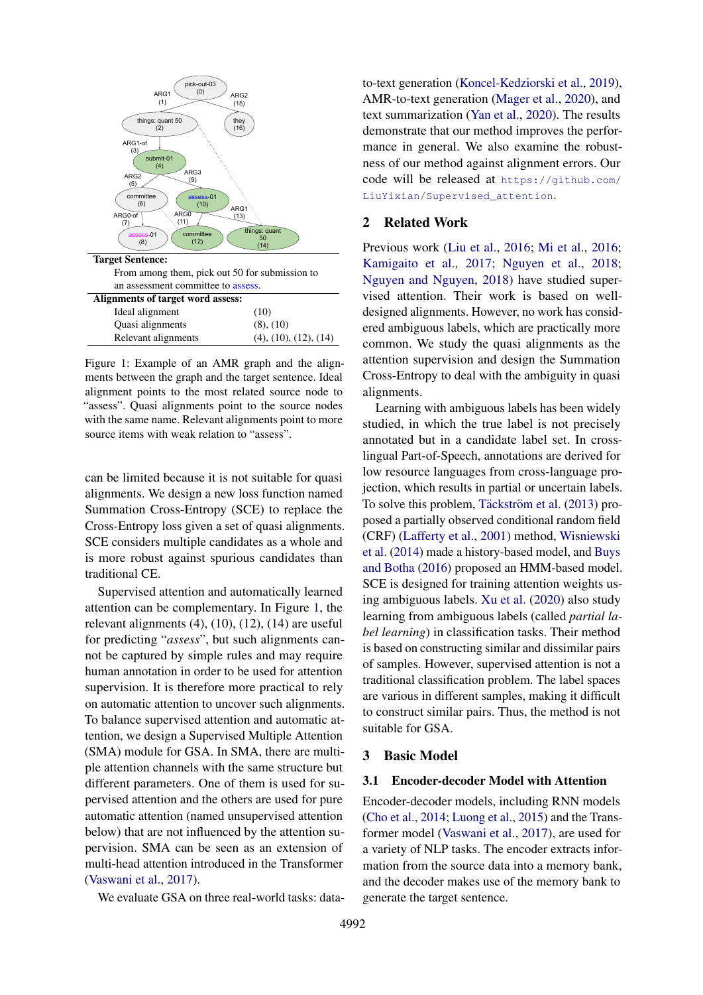<span id="page-1-0"></span>

Figure 1: Example of an AMR graph and the alignments between the graph and the target sentence. Ideal alignment points to the most related source node to "assess". Quasi alignments point to the source nodes with the same name. Relevant alignments point to more source items with weak relation to "assess".

can be limited because it is not suitable for quasi alignments. We design a new loss function named Summation Cross-Entropy (SCE) to replace the Cross-Entropy loss given a set of quasi alignments. SCE considers multiple candidates as a whole and is more robust against spurious candidates than traditional CE.

Supervised attention and automatically learned attention can be complementary. In Figure [1,](#page-1-0) the relevant alignments  $(4)$ ,  $(10)$ ,  $(12)$ ,  $(14)$  are useful for predicting "*assess*", but such alignments cannot be captured by simple rules and may require human annotation in order to be used for attention supervision. It is therefore more practical to rely on automatic attention to uncover such alignments. To balance supervised attention and automatic attention, we design a Supervised Multiple Attention (SMA) module for GSA. In SMA, there are multiple attention channels with the same structure but different parameters. One of them is used for supervised attention and the others are used for pure automatic attention (named unsupervised attention below) that are not influenced by the attention supervision. SMA can be seen as an extension of multi-head attention introduced in the Transformer [\(Vaswani et al.,](#page-10-0) [2017\)](#page-10-0).

We evaluate GSA on three real-world tasks: data-

to-text generation [\(Koncel-Kedziorski et al.,](#page-9-10) [2019\)](#page-9-10), AMR-to-text generation [\(Mager et al.,](#page-9-11) [2020\)](#page-9-11), and text summarization [\(Yan et al.,](#page-10-7) [2020\)](#page-10-7). The results demonstrate that our method improves the performance in general. We also examine the robustness of our method against alignment errors. Our code will be released at [https://github.com/](https://github.com/LiuYixian/Supervised_attention) [LiuYixian/Supervised\\_attention](https://github.com/LiuYixian/Supervised_attention).

# 2 Related Work

Previous work [\(Liu et al.,](#page-9-2) [2016;](#page-9-2) [Mi et al.,](#page-10-3) [2016;](#page-10-3) [Kamigaito et al.,](#page-9-7) [2017;](#page-9-7) [Nguyen et al.,](#page-10-4) [2018;](#page-10-4) [Nguyen and Nguyen,](#page-10-5) [2018\)](#page-10-5) have studied supervised attention. Their work is based on welldesigned alignments. However, no work has considered ambiguous labels, which are practically more common. We study the quasi alignments as the attention supervision and design the Summation Cross-Entropy to deal with the ambiguity in quasi alignments.

Learning with ambiguous labels has been widely studied, in which the true label is not precisely annotated but in a candidate label set. In crosslingual Part-of-Speech, annotations are derived for low resource languages from cross-language projection, which results in partial or uncertain labels. To solve this problem, Täckström et al.  $(2013)$  proposed a partially observed conditional random field (CRF) [\(Lafferty et al.,](#page-9-12) [2001\)](#page-9-12) method, [Wisniewski](#page-10-9) [et al.](#page-10-9) [\(2014\)](#page-10-9) made a history-based model, and [Buys](#page-9-13) [and Botha](#page-9-13) [\(2016\)](#page-9-13) proposed an HMM-based model. SCE is designed for training attention weights using ambiguous labels. [Xu et al.](#page-10-10) [\(2020\)](#page-10-10) also study learning from ambiguous labels (called *partial label learning*) in classification tasks. Their method is based on constructing similar and dissimilar pairs of samples. However, supervised attention is not a traditional classification problem. The label spaces are various in different samples, making it difficult to construct similar pairs. Thus, the method is not suitable for GSA.

#### 3 Basic Model

### 3.1 Encoder-decoder Model with Attention

Encoder-decoder models, including RNN models [\(Cho et al.,](#page-9-0) [2014;](#page-9-0) [Luong et al.,](#page-9-1) [2015\)](#page-9-1) and the Transformer model [\(Vaswani et al.,](#page-10-0) [2017\)](#page-10-0), are used for a variety of NLP tasks. The encoder extracts information from the source data into a memory bank, and the decoder makes use of the memory bank to generate the target sentence.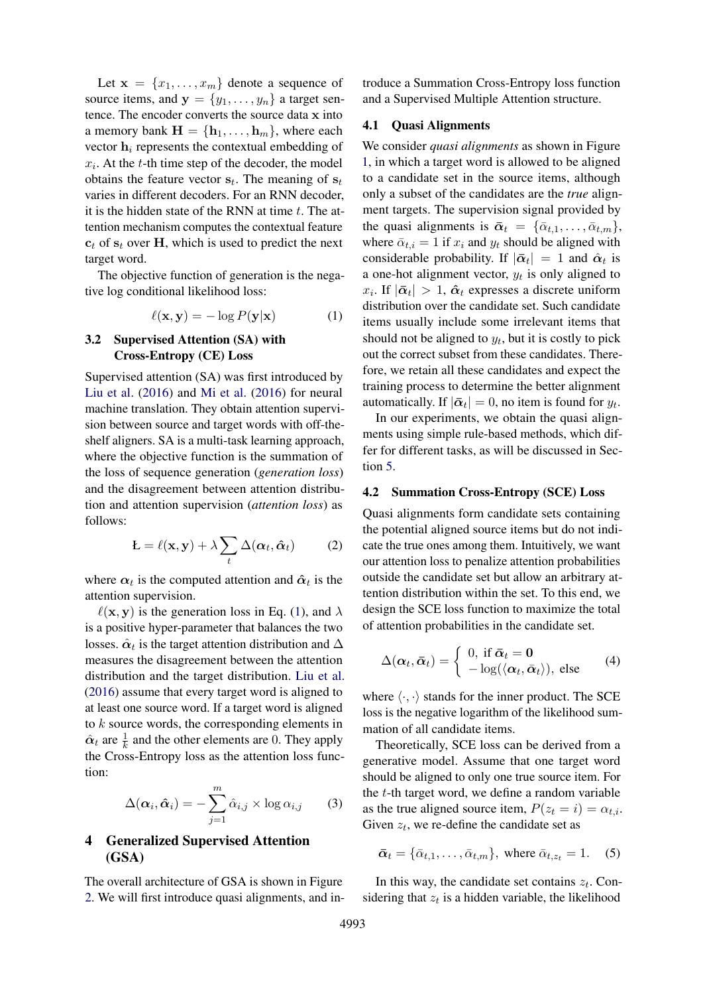Let  $\mathbf{x} = \{x_1, \ldots, x_m\}$  denote a sequence of source items, and  $y = \{y_1, \ldots, y_n\}$  a target sentence. The encoder converts the source data x into a memory bank  $\mathbf{H} = \{\mathbf{h}_1, \dots, \mathbf{h}_m\}$ , where each vector  $h_i$  represents the contextual embedding of  $x_i$ . At the  $t$ -th time step of the decoder, the model obtains the feature vector  $s_t$ . The meaning of  $s_t$ varies in different decoders. For an RNN decoder, it is the hidden state of the RNN at time  $t$ . The attention mechanism computes the contextual feature  $c_t$  of  $s_t$  over H, which is used to predict the next target word.

The objective function of generation is the negative log conditional likelihood loss:

$$
\ell(\mathbf{x}, \mathbf{y}) = -\log P(\mathbf{y}|\mathbf{x}) \tag{1}
$$

# 3.2 Supervised Attention (SA) with Cross-Entropy (CE) Loss

Supervised attention (SA) was first introduced by [Liu et al.](#page-9-2) [\(2016\)](#page-9-2) and [Mi et al.](#page-10-3) [\(2016\)](#page-10-3) for neural machine translation. They obtain attention supervision between source and target words with off-theshelf aligners. SA is a multi-task learning approach, where the objective function is the summation of the loss of sequence generation (*generation loss*) and the disagreement between attention distribution and attention supervision (*attention loss*) as follows:

$$
\mathbf{L} = \ell(\mathbf{x}, \mathbf{y}) + \lambda \sum_{t} \Delta(\boldsymbol{\alpha}_t, \hat{\boldsymbol{\alpha}}_t)
$$
 (2)

where  $\alpha_t$  is the computed attention and  $\hat{\alpha}_t$  is the attention supervision.

 $\ell(\mathbf{x}, \mathbf{y})$  is the generation loss in Eq. [\(1\)](#page-2-0), and  $\lambda$ is a positive hyper-parameter that balances the two losses.  $\hat{\alpha}_t$  is the target attention distribution and  $\Delta$ measures the disagreement between the attention distribution and the target distribution. [Liu et al.](#page-9-2) [\(2016\)](#page-9-2) assume that every target word is aligned to at least one source word. If a target word is aligned to k source words, the corresponding elements in  $\hat{\alpha}_t$  are  $\frac{1}{k}$  and the other elements are 0. They apply the Cross-Entropy loss as the attention loss function:

$$
\Delta(\boldsymbol{\alpha}_i, \hat{\boldsymbol{\alpha}}_i) = -\sum_{j=1}^m \hat{\alpha}_{i,j} \times \log \alpha_{i,j} \qquad (3)
$$

# 4 Generalized Supervised Attention (GSA)

The overall architecture of GSA is shown in Figure [2.](#page-3-0) We will first introduce quasi alignments, and introduce a Summation Cross-Entropy loss function and a Supervised Multiple Attention structure.

### 4.1 Quasi Alignments

We consider *quasi alignments* as shown in Figure [1,](#page-1-0) in which a target word is allowed to be aligned to a candidate set in the source items, although only a subset of the candidates are the *true* alignment targets. The supervision signal provided by the quasi alignments is  $\bar{\boldsymbol{\alpha}}_t = {\{\bar{\alpha}_{t,1}, \ldots, \bar{\alpha}_{t,m}\}},$ where  $\bar{\alpha}_{t,i} = 1$  if  $x_i$  and  $y_t$  should be aligned with considerable probability. If  $|\bar{\alpha}_t| = 1$  and  $\hat{\alpha}_t$  is a one-hot alignment vector,  $y_t$  is only aligned to  $x_i$ . If  $|\bar{\boldsymbol{\alpha}}_t| > 1$ ,  $\hat{\boldsymbol{\alpha}}_t$  expresses a discrete uniform distribution over the candidate set. Such candidate items usually include some irrelevant items that should not be aligned to  $y_t$ , but it is costly to pick out the correct subset from these candidates. Therefore, we retain all these candidates and expect the training process to determine the better alignment automatically. If  $|\bar{\boldsymbol{\alpha}}_t| = 0$ , no item is found for  $y_t$ .

<span id="page-2-0"></span>In our experiments, we obtain the quasi alignments using simple rule-based methods, which differ for different tasks, as will be discussed in Section [5.](#page-4-0)

#### <span id="page-2-3"></span>4.2 Summation Cross-Entropy (SCE) Loss

Quasi alignments form candidate sets containing the potential aligned source items but do not indicate the true ones among them. Intuitively, we want our attention loss to penalize attention probabilities outside the candidate set but allow an arbitrary attention distribution within the set. To this end, we design the SCE loss function to maximize the total of attention probabilities in the candidate set.

<span id="page-2-2"></span>
$$
\Delta(\boldsymbol{\alpha}_t, \boldsymbol{\bar{\alpha}}_t) = \begin{cases} 0, \text{ if } \boldsymbol{\bar{\alpha}}_t = \mathbf{0} \\ -\log(\langle \boldsymbol{\alpha}_t, \boldsymbol{\bar{\alpha}}_t \rangle), \text{ else} \end{cases} (4)
$$

where  $\langle \cdot, \cdot \rangle$  stands for the inner product. The SCE loss is the negative logarithm of the likelihood summation of all candidate items.

<span id="page-2-1"></span>Theoretically, SCE loss can be derived from a generative model. Assume that one target word should be aligned to only one true source item. For the  $t$ -th target word, we define a random variable as the true aligned source item,  $P(z_t = i) = \alpha_{t,i}$ . Given  $z_t$ , we re-define the candidate set as

$$
\bar{\boldsymbol{\alpha}}_t = \{\bar{\alpha}_{t,1}, \dots, \bar{\alpha}_{t,m}\}, \text{ where } \bar{\alpha}_{t,z_t} = 1. \quad (5)
$$

In this way, the candidate set contains  $z_t$ . Considering that  $z_t$  is a hidden variable, the likelihood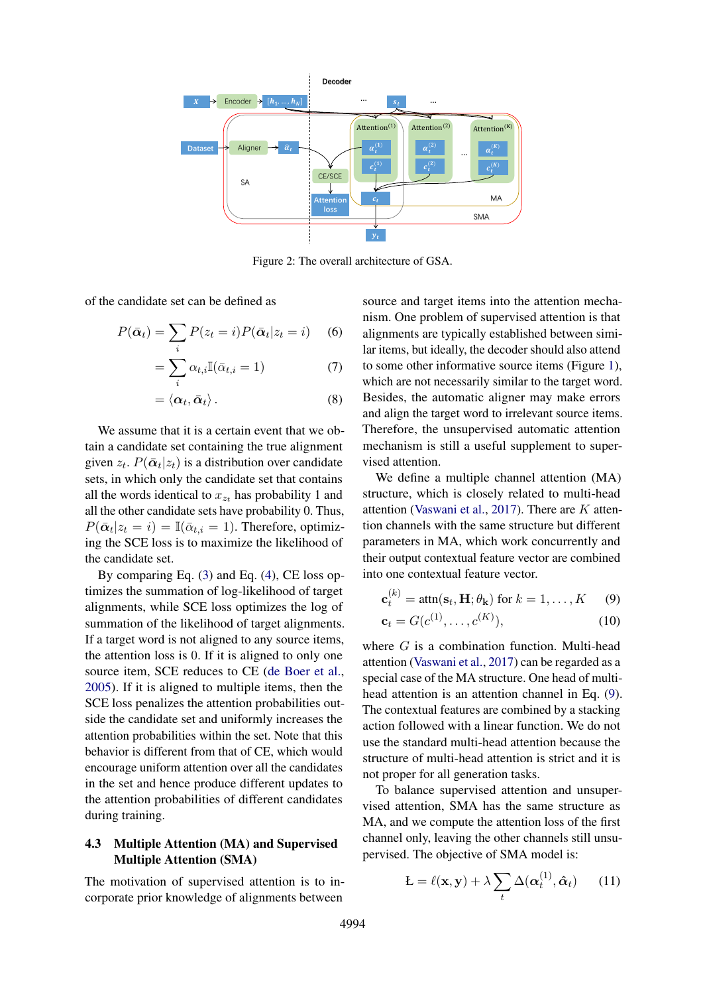<span id="page-3-0"></span>

Figure 2: The overall architecture of GSA.

of the candidate set can be defined as

$$
P(\bar{\boldsymbol{\alpha}}_t) = \sum_i P(z_t = i) P(\bar{\boldsymbol{\alpha}}_t | z_t = i) \quad (6)
$$

$$
=\sum_{i}\alpha_{t,i}\mathbb{I}(\bar{\alpha}_{t,i}=1)
$$
\n(7)

$$
=\langle \boldsymbol{\alpha}_t,\bar{\boldsymbol{\alpha}}_t\rangle. \hspace{1.5cm} (8)
$$

We assume that it is a certain event that we obtain a candidate set containing the true alignment given  $z_t$ .  $P(\bar{\boldsymbol{\alpha}}_t|z_t)$  is a distribution over candidate sets, in which only the candidate set that contains all the words identical to  $x_{z_t}$  has probability 1 and all the other candidate sets have probability 0. Thus,  $P(\bar{\alpha}_t | z_t = i) = \mathbb{I}(\bar{\alpha}_{t,i} = 1)$ . Therefore, optimizing the SCE loss is to maximize the likelihood of the candidate set.

By comparing Eq. [\(3\)](#page-2-1) and Eq. [\(4\)](#page-2-2), CE loss optimizes the summation of log-likelihood of target alignments, while SCE loss optimizes the log of summation of the likelihood of target alignments. If a target word is not aligned to any source items, the attention loss is 0. If it is aligned to only one source item, SCE reduces to CE [\(de Boer et al.,](#page-9-14) [2005\)](#page-9-14). If it is aligned to multiple items, then the SCE loss penalizes the attention probabilities outside the candidate set and uniformly increases the attention probabilities within the set. Note that this behavior is different from that of CE, which would encourage uniform attention over all the candidates in the set and hence produce different updates to the attention probabilities of different candidates during training.

# <span id="page-3-3"></span>4.3 Multiple Attention (MA) and Supervised Multiple Attention (SMA)

The motivation of supervised attention is to incorporate prior knowledge of alignments between

source and target items into the attention mechanism. One problem of supervised attention is that alignments are typically established between similar items, but ideally, the decoder should also attend to some other informative source items (Figure [1\)](#page-1-0), which are not necessarily similar to the target word. Besides, the automatic aligner may make errors and align the target word to irrelevant source items. Therefore, the unsupervised automatic attention mechanism is still a useful supplement to supervised attention.

We define a multiple channel attention (MA) structure, which is closely related to multi-head attention [\(Vaswani et al.,](#page-10-0) [2017\)](#page-10-0). There are  $K$  attention channels with the same structure but different parameters in MA, which work concurrently and their output contextual feature vector are combined into one contextual feature vector.

<span id="page-3-1"></span>
$$
\mathbf{c}_t^{(k)} = \text{attn}(\mathbf{s}_t, \mathbf{H}; \theta_\mathbf{k}) \text{ for } k = 1, \dots, K \quad (9)
$$

<span id="page-3-2"></span>
$$
\mathbf{c}_t = G(c^{(1)}, \dots, c^{(K)}),\tag{10}
$$

where  $G$  is a combination function. Multi-head attention [\(Vaswani et al.,](#page-10-0) [2017\)](#page-10-0) can be regarded as a special case of the MA structure. One head of multihead attention is an attention channel in Eq. [\(9\)](#page-3-1). The contextual features are combined by a stacking action followed with a linear function. We do not use the standard multi-head attention because the structure of multi-head attention is strict and it is not proper for all generation tasks.

To balance supervised attention and unsupervised attention, SMA has the same structure as MA, and we compute the attention loss of the first channel only, leaving the other channels still unsupervised. The objective of SMA model is:

$$
\mathbf{L} = \ell(\mathbf{x}, \mathbf{y}) + \lambda \sum_{t} \Delta(\boldsymbol{\alpha}_t^{(1)}, \hat{\boldsymbol{\alpha}}_t) \qquad (11)
$$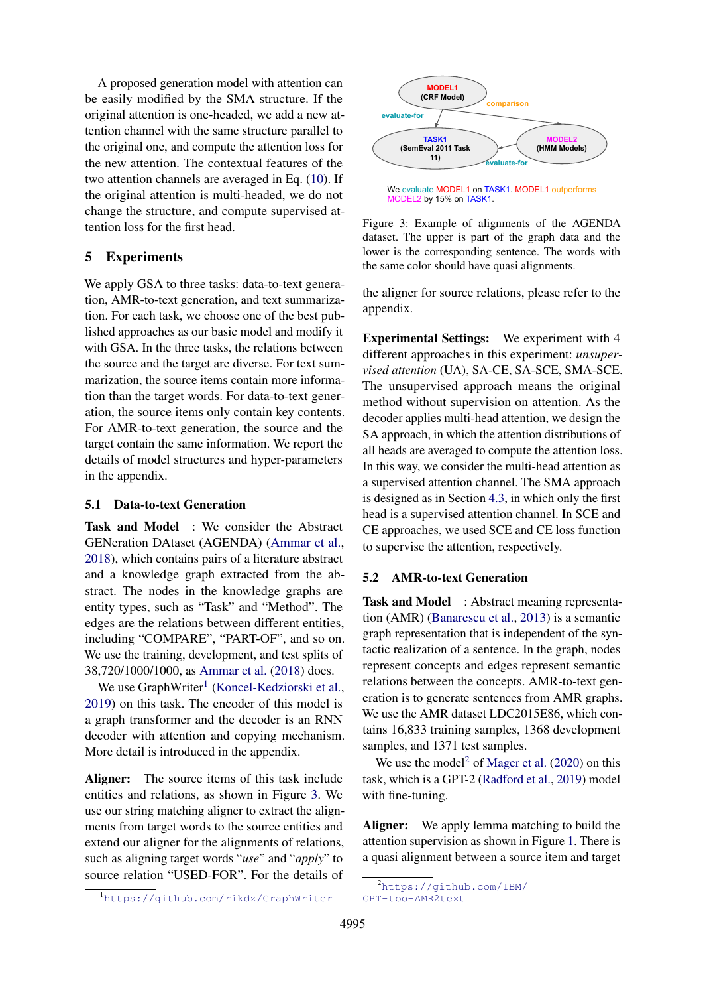A proposed generation model with attention can be easily modified by the SMA structure. If the original attention is one-headed, we add a new attention channel with the same structure parallel to the original one, and compute the attention loss for the new attention. The contextual features of the two attention channels are averaged in Eq. [\(10\)](#page-3-2). If the original attention is multi-headed, we do not change the structure, and compute supervised attention loss for the first head.

# <span id="page-4-0"></span>5 Experiments

We apply GSA to three tasks: data-to-text generation, AMR-to-text generation, and text summarization. For each task, we choose one of the best published approaches as our basic model and modify it with GSA. In the three tasks, the relations between the source and the target are diverse. For text summarization, the source items contain more information than the target words. For data-to-text generation, the source items only contain key contents. For AMR-to-text generation, the source and the target contain the same information. We report the details of model structures and hyper-parameters in the appendix.

# 5.1 Data-to-text Generation

Task and Model : We consider the Abstract GENeration DAtaset (AGENDA) [\(Ammar et al.,](#page-8-2) [2018\)](#page-8-2), which contains pairs of a literature abstract and a knowledge graph extracted from the abstract. The nodes in the knowledge graphs are entity types, such as "Task" and "Method". The edges are the relations between different entities, including "COMPARE", "PART-OF", and so on. We use the training, development, and test splits of 38,720/1000/1000, as [Ammar et al.](#page-8-2) [\(2018\)](#page-8-2) does.

We use GraphWriter<sup>[1](#page-4-1)</sup> [\(Koncel-Kedziorski et al.,](#page-9-10) [2019\)](#page-9-10) on this task. The encoder of this model is a graph transformer and the decoder is an RNN decoder with attention and copying mechanism. More detail is introduced in the appendix.

Aligner: The source items of this task include entities and relations, as shown in Figure [3.](#page-4-2) We use our string matching aligner to extract the alignments from target words to the source entities and extend our aligner for the alignments of relations, such as aligning target words "*use*" and "*apply*" to source relation "USED-FOR". For the details of

<span id="page-4-1"></span>

<span id="page-4-2"></span>

We evaluate MODEL1 on TASK1. MODEL1 outperforms MODEL2 by 15% on TASK1.

Figure 3: Example of alignments of the AGENDA dataset. The upper is part of the graph data and the lower is the corresponding sentence. The words with the same color should have quasi alignments.

the aligner for source relations, please refer to the appendix.

Experimental Settings: We experiment with 4 different approaches in this experiment: *unsupervised attention* (UA), SA-CE, SA-SCE, SMA-SCE. The unsupervised approach means the original method without supervision on attention. As the decoder applies multi-head attention, we design the SA approach, in which the attention distributions of all heads are averaged to compute the attention loss. In this way, we consider the multi-head attention as a supervised attention channel. The SMA approach is designed as in Section [4.3,](#page-3-3) in which only the first head is a supervised attention channel. In SCE and CE approaches, we used SCE and CE loss function to supervise the attention, respectively.

### <span id="page-4-4"></span>5.2 AMR-to-text Generation

Task and Model : Abstract meaning representation (AMR) [\(Banarescu et al.,](#page-9-15) [2013\)](#page-9-15) is a semantic graph representation that is independent of the syntactic realization of a sentence. In the graph, nodes represent concepts and edges represent semantic relations between the concepts. AMR-to-text generation is to generate sentences from AMR graphs. We use the AMR dataset LDC2015E86, which contains 16,833 training samples, 1368 development samples, and 1371 test samples.

We use the model<sup>[2](#page-4-3)</sup> of [Mager et al.](#page-9-11)  $(2020)$  on this task, which is a GPT-2 [\(Radford et al.,](#page-10-11) [2019\)](#page-10-11) model with fine-tuning.

Aligner: We apply lemma matching to build the attention supervision as shown in Figure [1.](#page-1-0) There is a quasi alignment between a source item and target

<span id="page-4-3"></span><sup>2</sup>[https://github.com/IBM/](https://github.com/IBM/GPT-too-AMR2text) [GPT-too-AMR2text](https://github.com/IBM/GPT-too-AMR2text)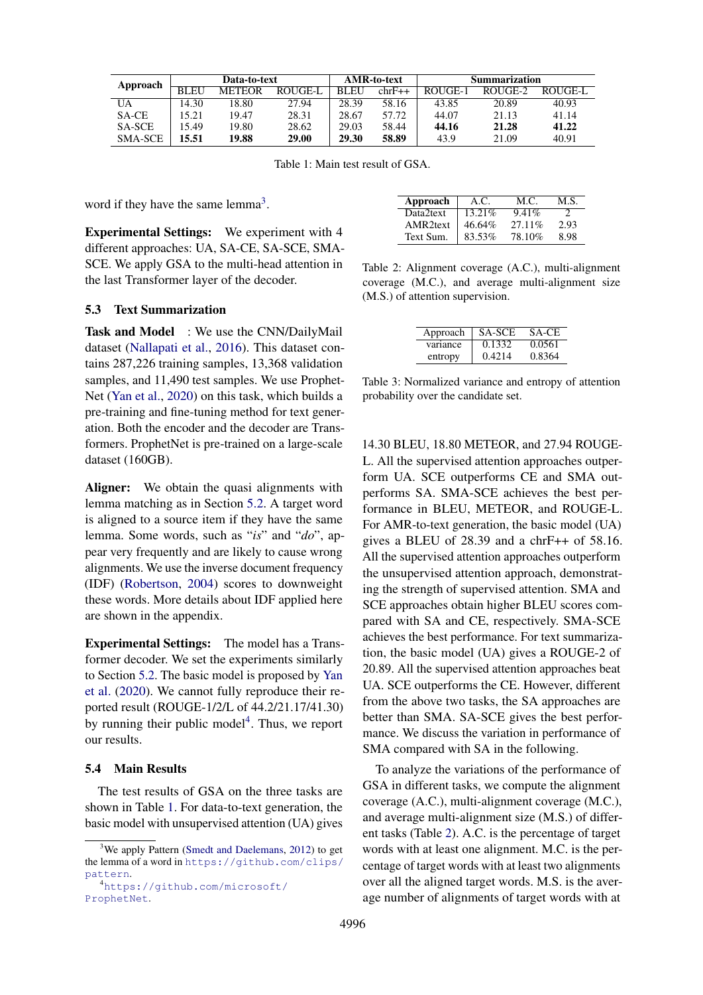<span id="page-5-2"></span>

| Approach       |             | Data-to-text  |         |             | AMR-to-text | Summarization |         |         |  |
|----------------|-------------|---------------|---------|-------------|-------------|---------------|---------|---------|--|
|                | <b>BLEU</b> | <b>METEOR</b> | ROUGE-L | <b>BLEU</b> | $chrF++$    | ROUGE-1       | ROUGE-2 | ROUGE-L |  |
| UA             | 14.30       | 18.80         | 27.94   | 28.39       | 58.16       | 43.85         | 20.89   | 40.93   |  |
| SA-CE          | 15.21       | 19.47         | 28.31   | 28.67       | 57.72       | 44.07         | 21.13   | 41.14   |  |
| <b>SA-SCE</b>  | 15.49       | 19.80         | 28.62   | 29.03       | 58.44       | 44.16         | 21.28   | 41.22   |  |
| <b>SMA-SCE</b> | 15.51       | 19.88         | 29.00   | 29.30       | 58.89       | 43.9          | 21.09   | 40.91   |  |

Table 1: Main test result of GSA.

word if they have the same lemma<sup>[3](#page-5-0)</sup>.

Experimental Settings: We experiment with 4 different approaches: UA, SA-CE, SA-SCE, SMA-SCE. We apply GSA to the multi-head attention in the last Transformer layer of the decoder.

#### 5.3 Text Summarization

Task and Model : We use the CNN/DailyMail dataset [\(Nallapati et al.,](#page-10-12) [2016\)](#page-10-12). This dataset contains 287,226 training samples, 13,368 validation samples, and 11,490 test samples. We use Prophet-Net [\(Yan et al.,](#page-10-7) [2020\)](#page-10-7) on this task, which builds a pre-training and fine-tuning method for text generation. Both the encoder and the decoder are Transformers. ProphetNet is pre-trained on a large-scale dataset (160GB).

Aligner: We obtain the quasi alignments with lemma matching as in Section [5.2.](#page-4-4) A target word is aligned to a source item if they have the same lemma. Some words, such as "*is*" and "*do*", appear very frequently and are likely to cause wrong alignments. We use the inverse document frequency (IDF) [\(Robertson,](#page-10-13) [2004\)](#page-10-13) scores to downweight these words. More details about IDF applied here are shown in the appendix.

Experimental Settings: The model has a Transformer decoder. We set the experiments similarly to Section [5.2.](#page-4-4) The basic model is proposed by [Yan](#page-10-7) [et al.](#page-10-7) [\(2020\)](#page-10-7). We cannot fully reproduce their reported result (ROUGE-1/2/L of 44.2/21.17/41.30) by running their public model<sup>[4](#page-5-1)</sup>. Thus, we report our results.

### 5.4 Main Results

The test results of GSA on the three tasks are shown in Table [1.](#page-5-2) For data-to-text generation, the basic model with unsupervised attention (UA) gives

<span id="page-5-3"></span>

| Approach  | A.C.      | M.C.    | M.S. |
|-----------|-----------|---------|------|
| Data2text | $13.21\%$ | 9.41%   |      |
| AMR2text  | 46.64%    | 27.11\% | 2.93 |
| Text Sum. | 83.53%    | 78.10%  | 8.98 |

Table 2: Alignment coverage (A.C.), multi-alignment coverage (M.C.), and average multi-alignment size (M.S.) of attention supervision.

<span id="page-5-4"></span>

| Approach | SA-SCE | SA-CE  |
|----------|--------|--------|
| variance | 0.1332 | 0.0561 |
| entropy  | 0.4214 | 0.8364 |

Table 3: Normalized variance and entropy of attention probability over the candidate set.

14.30 BLEU, 18.80 METEOR, and 27.94 ROUGE-L. All the supervised attention approaches outperform UA. SCE outperforms CE and SMA outperforms SA. SMA-SCE achieves the best performance in BLEU, METEOR, and ROUGE-L. For AMR-to-text generation, the basic model (UA) gives a BLEU of 28.39 and a chrF++ of 58.16. All the supervised attention approaches outperform the unsupervised attention approach, demonstrating the strength of supervised attention. SMA and SCE approaches obtain higher BLEU scores compared with SA and CE, respectively. SMA-SCE achieves the best performance. For text summarization, the basic model (UA) gives a ROUGE-2 of 20.89. All the supervised attention approaches beat UA. SCE outperforms the CE. However, different from the above two tasks, the SA approaches are better than SMA. SA-SCE gives the best performance. We discuss the variation in performance of SMA compared with SA in the following.

To analyze the variations of the performance of GSA in different tasks, we compute the alignment coverage (A.C.), multi-alignment coverage (M.C.), and average multi-alignment size (M.S.) of different tasks (Table [2\)](#page-5-3). A.C. is the percentage of target words with at least one alignment. M.C. is the percentage of target words with at least two alignments over all the aligned target words. M.S. is the average number of alignments of target words with at

<span id="page-5-0"></span> $3$ We apply Pattern [\(Smedt and Daelemans,](#page-10-14) [2012\)](#page-10-14) to get the lemma of a word in [https://github.com/clips/](https://github.com/clips/pattern) [pattern](https://github.com/clips/pattern).

<span id="page-5-1"></span><sup>4</sup>[https://github.com/microsoft/](https://github.com/microsoft/ProphetNet) [ProphetNet](https://github.com/microsoft/ProphetNet).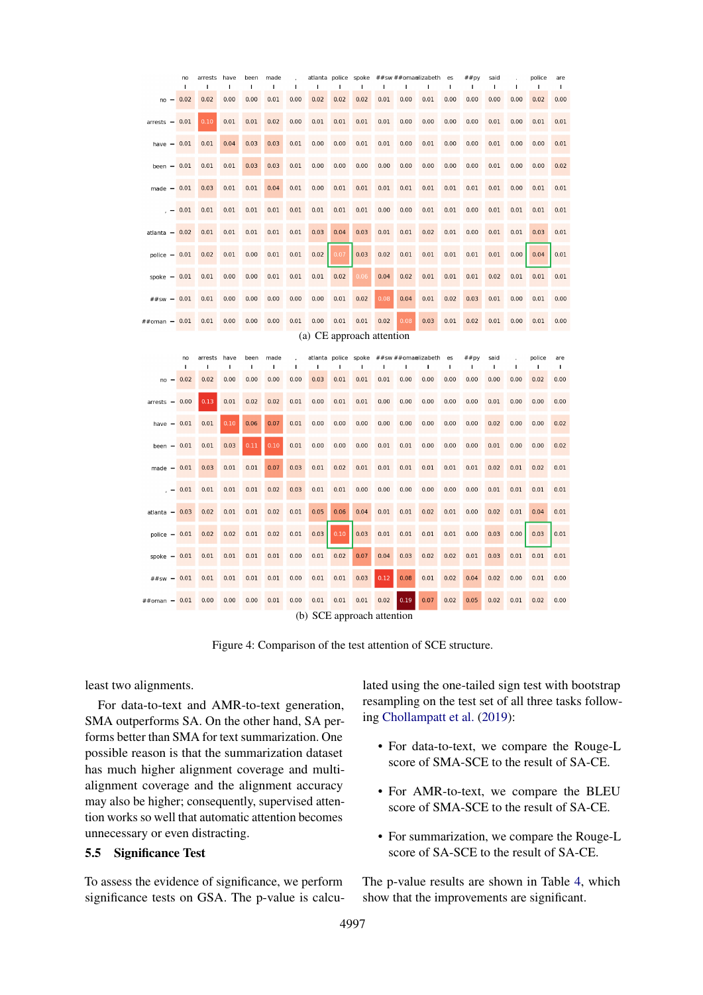<span id="page-6-1"></span><span id="page-6-0"></span>

|                                     | no<br>I.           | arrests<br>ı  | have<br>I | been<br>ı | made<br>$\mathbf{I}$ | I    | atlanta<br>ı                       | police<br>$\mathbf I$ | spoke<br>ı | I.   | ı    | ##sw ##omanlizabeth<br>ı | es<br>$\mathbf I$ | ##py<br>ı | said<br>ı | $\mathbf I$  | police<br>I. | are<br>I |
|-------------------------------------|--------------------|---------------|-----------|-----------|----------------------|------|------------------------------------|-----------------------|------------|------|------|--------------------------|-------------------|-----------|-----------|--------------|--------------|----------|
| no                                  | 0.02               | 0.02          | 0.00      | 0.00      | 0.01                 | 0.00 | 0.02                               | 0.02                  | 0.02       | 0.01 | 0.00 | 0.01                     | 0.00              | 0.00      | 0.00      | 0.00         | 0.02         | 0.00     |
| arrests<br>$\overline{\phantom{0}}$ | 0.01               | 0.10          | 0.01      | 0.01      | 0.02                 | 0.00 | 0.01                               | 0.01                  | 0.01       | 0.01 | 0.00 | 0.00                     | 0.00              | 0.00      | 0.01      | 0.00         | 0.01         | 0.01     |
| have<br>۰                           | 0.01               | 0.01          | 0.04      | 0.03      | 0.03                 | 0.01 | 0.00                               | 0.00                  | 0.01       | 0.01 | 0.00 | 0.01                     | 0.00              | 0.00      | 0.01      | 0.00         | 0.00         | 0.01     |
| been<br>$\overline{\phantom{0}}$    | 0.01               | 0.01          | 0.01      | 0.03      | 0.03                 | 0.01 | 0.00                               | 0.00                  | 0.00       | 0.00 | 0.00 | 0.00                     | 0.00              | 0.00      | 0.01      | 0.00         | 0.00         | 0.02     |
| made                                | 0.01               | 0.03          | 0.01      | 0.01      | 0.04                 | 0.01 | 0.00                               | 0.01                  | 0.01       | 0.01 | 0.01 | 0.01                     | 0.01              | 0.01      | 0.01      | 0.00         | 0.01         | 0.01     |
|                                     | 0.01               | 0.01          | 0.01      | 0.01      | 0.01                 | 0.01 | 0.01                               | 0.01                  | 0.01       | 0.00 | 0.00 | 0.01                     | 0.01              | 0.00      | 0.01      | 0.01         | 0.01         | 0.01     |
| atlanta                             | 0.02               | 0.01          | 0.01      | 0.01      | 0.01                 | 0.01 | 0.03                               | 0.04                  | 0.03       | 0.01 | 0.01 | 0.02                     | 0.01              | 0.00      | 0.01      | 0.01         | 0.03         | 0.01     |
| $police -$                          | 0.01               | 0.02          | 0.01      | 0.00      | 0.01                 | 0.01 | 0.02                               | 0.07                  | 0.03       | 0.02 | 0.01 | 0.01                     | 0.01              | 0.01      | 0.01      | 0.00         | 0.04         | 0.01     |
| spoke<br>$\overline{\phantom{0}}$   | 0.01               | 0.01          | 0.00      | 0.00      | 0.01                 | 0.01 | 0.01                               | 0.02                  | 0.06       | 0.04 | 0.02 | 0.01                     | 0.01              | 0.01      | 0.02      | 0.01         | 0.01         | 0.01     |
| ##sw<br>$\overline{\phantom{0}}$    | 0.01               | 0.01          | 0.00      | 0.00      | 0.00                 | 0.00 | 0.00                               | 0.01                  | 0.02       | 0.08 | 0.04 | 0.01                     | 0.02              | 0.03      | 0.01      | 0.00         | 0.01         | 0.00     |
| ##oman                              | 0.01               | 0.01          | 0.00      | 0.00      | 0.00                 | 0.01 | 0.00                               | 0.01                  | 0.01       | 0.02 | 0.08 | 0.03                     | 0.01              | 0.02      | 0.01      | 0.00         | 0.01         | 0.00     |
| (a) CE approach attention           |                    |               |           |           |                      |      |                                    |                       |            |      |      |                          |                   |           |           |              |              |          |
|                                     |                    |               |           |           |                      |      |                                    |                       |            |      |      |                          |                   |           |           |              |              |          |
|                                     | no<br>$\mathbf{I}$ | arrests<br>I. | have<br>I | been<br>ı | made<br>I            | ı    | atlanta police<br>п                | ı                     | spoke<br>ı | I.   | ı    | ##sw ##omanlizabeth<br>I | es<br>I.          | ##py<br>I | said<br>ı | $\mathbf{I}$ | police<br>ı  | are<br>ı |
| no                                  | 0.02               | 0.02          | 0.00      | 0.00      | 0.00                 | 0.00 | 0.03                               | 0.01                  | 0.01       | 0.01 | 0.00 | 0.00                     | 0.00              | 0.00      | 0.00      | 0.00         | 0.02         | 0.00     |
| arrests<br>$\overline{\phantom{0}}$ | 0.00               | 0.13          | 0.01      | 0.02      | 0.02                 | 0.01 | 0.00                               | 0.01                  | 0.01       | 0.00 | 0.00 | 0.00                     | 0.00              | 0.00      | 0.01      | 0.00         | 0.00         | 0.00     |
| have                                | 0.01               | 0.01          | 0.10      | 0.06      | 0.07                 | 0.01 | 0.00                               | 0.00                  | 0.00       | 0.00 | 0.00 | 0.00                     | 0.00              | 0.00      | 0.02      | 0.00         | 0.00         | 0.02     |
| been<br>۰                           | 0.01               | 0.01          | 0.03      | 0.11      | 0.10                 | 0.01 | 0.00                               | 0.00                  | 0.00       | 0.01 | 0.01 | 0.00                     | 0.00              | 0.00      | 0.01      | 0.00         | 0.00         | 0.02     |
| made                                | 0.01               | 0.03          | 0.01      | 0.01      | 0.07                 | 0.03 | 0.01                               | 0.02                  | 0.01       | 0.01 | 0.01 | 0.01                     | 0.01              | 0.01      | 0.02      | 0.01         | 0.02         | 0.01     |
|                                     | 0.01               | 0.01          | 0.01      | 0.01      | 0.02                 | 0.03 | 0.01                               | 0.01                  | 0.00       | 0.00 | 0.00 | 0.00                     | 0.00              | 0.00      | 0.01      | 0.01         | 0.01         | 0.01     |
| atlanta                             | 0.03               | 0.02          | 0.01      | 0.01      | 0.02                 | 0.01 | 0.05                               | 0.06                  | 0.04       | 0.01 | 0.01 | 0.02                     | 0.01              | 0.00      | 0.02      | 0.01         | 0.04         | 0.01     |
| $police -$                          | 0.01               | 0.02          | 0.02      | 0.01      | 0.02                 | 0.01 | 0.03                               | 0.10                  | 0.03       | 0.01 | 0.01 | 0.01                     | 0.01              | 0.00      | 0.03      | 0.00         | 0.03         | 0.01     |
| spoke                               | 0.01               | 0.01          | 0.01      | 0.01      | 0.01                 | 0.00 | 0.01                               | 0.02                  | 0.07       | 0.04 | 0.03 | 0.02                     | 0.02              | 0.01      | 0.03      | 0.01         | 0.01         | 0.01     |
| ##sw<br>$\overline{\phantom{0}}$    | 0.01               | 0.01          | 0.01      | 0.01      | 0.01                 | 0.00 | 0.01                               | 0.01                  | 0.03       | 0.12 | 0.08 | 0.01                     | 0.02              | 0.04      | 0.02      | 0.00         | 0.01         | 0.00     |
| ##oman<br>$\overline{\phantom{0}}$  | 0.01               | 0.00          | 0.00      | 0.00      | 0.01                 | 0.00 | 0.01<br>(b) SCE approach attention | 0.01                  | 0.01       | 0.02 | 0.19 | 0.07                     | 0.02              | 0.05      | 0.02      | 0.01         | 0.02         | 0.00     |

Figure 4: Comparison of the test attention of SCE structure.

<span id="page-6-2"></span>least two alignments.

For data-to-text and AMR-to-text generation, SMA outperforms SA. On the other hand, SA performs better than SMA for text summarization. One possible reason is that the summarization dataset has much higher alignment coverage and multialignment coverage and the alignment accuracy may also be higher; consequently, supervised attention works so well that automatic attention becomes unnecessary or even distracting.

# 5.5 Significance Test

To assess the evidence of significance, we perform significance tests on GSA. The p-value is calculated using the one-tailed sign test with bootstrap resampling on the test set of all three tasks following [Chollampatt et al.](#page-9-16) [\(2019\)](#page-9-16):

- For data-to-text, we compare the Rouge-L score of SMA-SCE to the result of SA-CE.
- For AMR-to-text, we compare the BLEU score of SMA-SCE to the result of SA-CE.
- For summarization, we compare the Rouge-L score of SA-SCE to the result of SA-CE.

The p-value results are shown in Table [4,](#page-7-0) which show that the improvements are significant.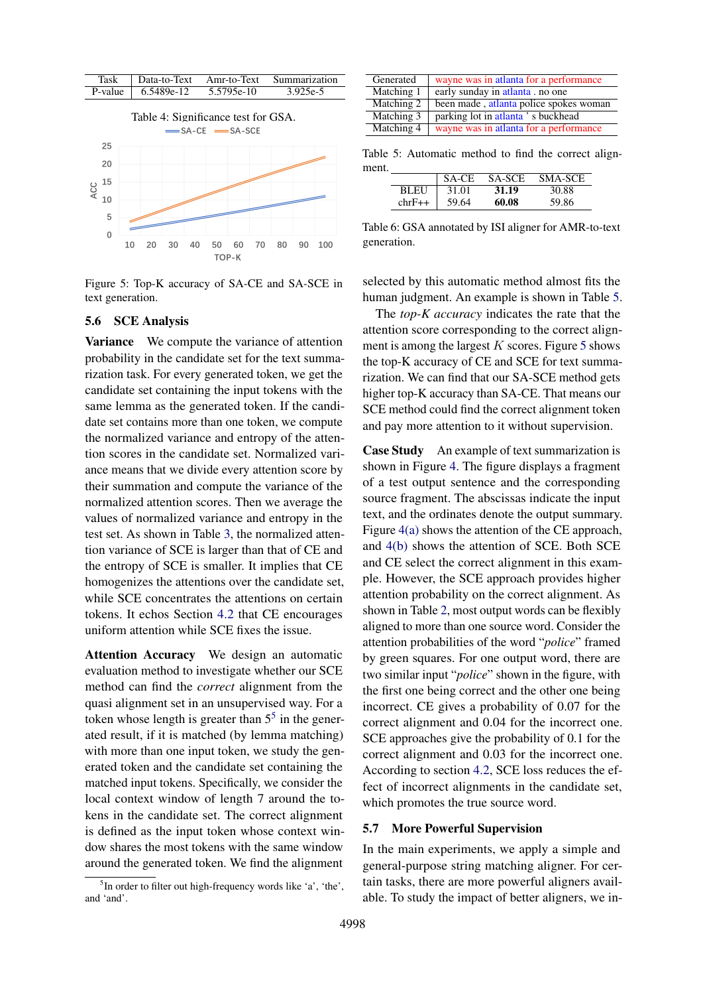<span id="page-7-3"></span><span id="page-7-0"></span>

Figure 5: Top-K accuracy of SA-CE and SA-SCE in text generation.

#### 5.6 SCE Analysis

Variance We compute the variance of attention probability in the candidate set for the text summarization task. For every generated token, we get the candidate set containing the input tokens with the same lemma as the generated token. If the candidate set contains more than one token, we compute the normalized variance and entropy of the attention scores in the candidate set. Normalized variance means that we divide every attention score by their summation and compute the variance of the normalized attention scores. Then we average the values of normalized variance and entropy in the test set. As shown in Table [3,](#page-5-4) the normalized attention variance of SCE is larger than that of CE and the entropy of SCE is smaller. It implies that CE homogenizes the attentions over the candidate set, while SCE concentrates the attentions on certain tokens. It echos Section [4.2](#page-2-3) that CE encourages uniform attention while SCE fixes the issue.

Attention Accuracy We design an automatic evaluation method to investigate whether our SCE method can find the *correct* alignment from the quasi alignment set in an unsupervised way. For a token whose length is greater than  $5<sup>5</sup>$  $5<sup>5</sup>$  in the generated result, if it is matched (by lemma matching) with more than one input token, we study the generated token and the candidate set containing the matched input tokens. Specifically, we consider the local context window of length 7 around the tokens in the candidate set. The correct alignment is defined as the input token whose context window shares the most tokens with the same window around the generated token. We find the alignment

<span id="page-7-1"></span><sup>5</sup>In order to filter out high-frequency words like 'a', 'the', and 'and'.

<span id="page-7-2"></span>

| Generated  | wayne was in atlanta for a performance |
|------------|----------------------------------------|
| Matching 1 | early sunday in atlanta, no one        |
| Matching 2 | been made, atlanta police spokes woman |
| Matching 3 | parking lot in atlanta's buckhead      |
| Matching 4 | wayne was in atlanta for a performance |

<span id="page-7-4"></span>Table 5: Automatic method to find the correct alignment.

|          | SA-CE | <b>SA-SCE</b> | SMA-SCE |
|----------|-------|---------------|---------|
| BLEU     | 31.01 | 31.19         | 30.88   |
| $chrF++$ | 59.64 | 60.08         | 59.86   |

Table 6: GSA annotated by ISI aligner for AMR-to-text generation.

selected by this automatic method almost fits the human judgment. An example is shown in Table [5.](#page-7-2)

The *top-K accuracy* indicates the rate that the attention score corresponding to the correct alignment is among the largest  $K$  scores. Figure [5](#page-7-3) shows the top-K accuracy of CE and SCE for text summarization. We can find that our SA-SCE method gets higher top-K accuracy than SA-CE. That means our SCE method could find the correct alignment token and pay more attention to it without supervision.

Case Study An example of text summarization is shown in Figure [4.](#page-6-0) The figure displays a fragment of a test output sentence and the corresponding source fragment. The abscissas indicate the input text, and the ordinates denote the output summary. Figure [4\(a\)](#page-6-1) shows the attention of the CE approach, and [4\(b\)](#page-6-2) shows the attention of SCE. Both SCE and CE select the correct alignment in this example. However, the SCE approach provides higher attention probability on the correct alignment. As shown in Table [2,](#page-5-3) most output words can be flexibly aligned to more than one source word. Consider the attention probabilities of the word "*police*" framed by green squares. For one output word, there are two similar input "*police*" shown in the figure, with the first one being correct and the other one being incorrect. CE gives a probability of 0.07 for the correct alignment and 0.04 for the incorrect one. SCE approaches give the probability of 0.1 for the correct alignment and 0.03 for the incorrect one. According to section [4.2,](#page-2-3) SCE loss reduces the effect of incorrect alignments in the candidate set, which promotes the true source word.

#### 5.7 More Powerful Supervision

In the main experiments, we apply a simple and general-purpose string matching aligner. For certain tasks, there are more powerful aligners available. To study the impact of better aligners, we in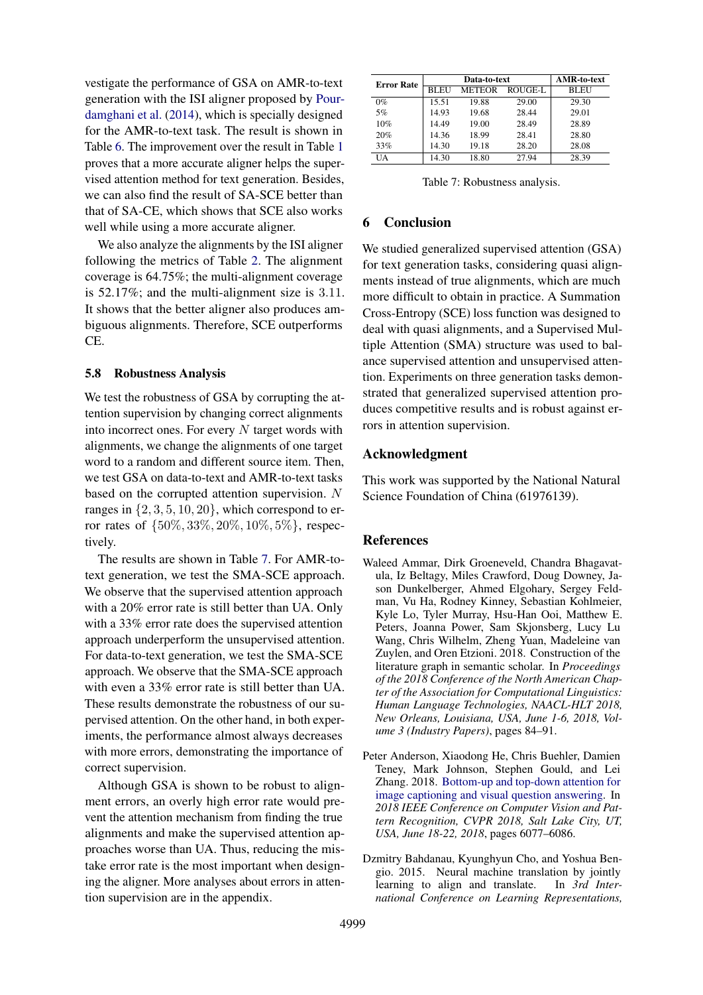vestigate the performance of GSA on AMR-to-text generation with the ISI aligner proposed by [Pour](#page-10-6)[damghani et al.](#page-10-6) [\(2014\)](#page-10-6), which is specially designed for the AMR-to-text task. The result is shown in Table [6.](#page-7-4) The improvement over the result in Table [1](#page-5-2) proves that a more accurate aligner helps the supervised attention method for text generation. Besides, we can also find the result of SA-SCE better than that of SA-CE, which shows that SCE also works well while using a more accurate aligner.

We also analyze the alignments by the ISI aligner following the metrics of Table [2.](#page-5-3) The alignment coverage is 64.75%; the multi-alignment coverage is 52.17%; and the multi-alignment size is 3.11. It shows that the better aligner also produces ambiguous alignments. Therefore, SCE outperforms CE.

### 5.8 Robustness Analysis

We test the robustness of GSA by corrupting the attention supervision by changing correct alignments into incorrect ones. For every  $N$  target words with alignments, we change the alignments of one target word to a random and different source item. Then, we test GSA on data-to-text and AMR-to-text tasks based on the corrupted attention supervision. N ranges in  $\{2, 3, 5, 10, 20\}$ , which correspond to error rates of {50%, 33%, 20%, 10%, 5%}, respectively.

The results are shown in Table [7.](#page-8-3) For AMR-totext generation, we test the SMA-SCE approach. We observe that the supervised attention approach with a 20% error rate is still better than UA. Only with a 33% error rate does the supervised attention approach underperform the unsupervised attention. For data-to-text generation, we test the SMA-SCE approach. We observe that the SMA-SCE approach with even a 33% error rate is still better than UA. These results demonstrate the robustness of our supervised attention. On the other hand, in both experiments, the performance almost always decreases with more errors, demonstrating the importance of correct supervision.

Although GSA is shown to be robust to alignment errors, an overly high error rate would prevent the attention mechanism from finding the true alignments and make the supervised attention approaches worse than UA. Thus, reducing the mistake error rate is the most important when designing the aligner. More analyses about errors in attention supervision are in the appendix.

<span id="page-8-3"></span>

| <b>Error Rate</b> |             | Data-to-text  | <b>AMR-to-text</b> |       |
|-------------------|-------------|---------------|--------------------|-------|
|                   | <b>BLEU</b> | <b>METEOR</b> | ROUGE-L            | BLEU  |
| $0\%$             | 15.51       | 19.88         | 29.00              | 29.30 |
| 5%                | 14.93       | 19.68         | 28.44              | 29.01 |
| 10%               | 14.49       | 19.00         | 28.49              | 28.89 |
| 20%               | 14.36       | 18.99         | 28.41              | 28.80 |
| 33%               | 14.30       | 19.18         | 28.20              | 28.08 |
| UA                | 14.30       | 18.80         | 27.94              | 28.39 |

Table 7: Robustness analysis.

# 6 Conclusion

We studied generalized supervised attention (GSA) for text generation tasks, considering quasi alignments instead of true alignments, which are much more difficult to obtain in practice. A Summation Cross-Entropy (SCE) loss function was designed to deal with quasi alignments, and a Supervised Multiple Attention (SMA) structure was used to balance supervised attention and unsupervised attention. Experiments on three generation tasks demonstrated that generalized supervised attention produces competitive results and is robust against errors in attention supervision.

### Acknowledgment

This work was supported by the National Natural Science Foundation of China (61976139).

#### **References**

- <span id="page-8-2"></span>Waleed Ammar, Dirk Groeneveld, Chandra Bhagavatula, Iz Beltagy, Miles Crawford, Doug Downey, Jason Dunkelberger, Ahmed Elgohary, Sergey Feldman, Vu Ha, Rodney Kinney, Sebastian Kohlmeier, Kyle Lo, Tyler Murray, Hsu-Han Ooi, Matthew E. Peters, Joanna Power, Sam Skjonsberg, Lucy Lu Wang, Chris Wilhelm, Zheng Yuan, Madeleine van Zuylen, and Oren Etzioni. 2018. Construction of the literature graph in semantic scholar. In *Proceedings of the 2018 Conference of the North American Chapter of the Association for Computational Linguistics: Human Language Technologies, NAACL-HLT 2018, New Orleans, Louisiana, USA, June 1-6, 2018, Volume 3 (Industry Papers)*, pages 84–91.
- <span id="page-8-0"></span>Peter Anderson, Xiaodong He, Chris Buehler, Damien Teney, Mark Johnson, Stephen Gould, and Lei Zhang. 2018. [Bottom-up and top-down attention for](https://doi.org/10.1109/CVPR.2018.00636) [image captioning and visual question answering.](https://doi.org/10.1109/CVPR.2018.00636) In *2018 IEEE Conference on Computer Vision and Pattern Recognition, CVPR 2018, Salt Lake City, UT, USA, June 18-22, 2018*, pages 6077–6086.
- <span id="page-8-1"></span>Dzmitry Bahdanau, Kyunghyun Cho, and Yoshua Bengio. 2015. Neural machine translation by jointly learning to align and translate. In *3rd International Conference on Learning Representations,*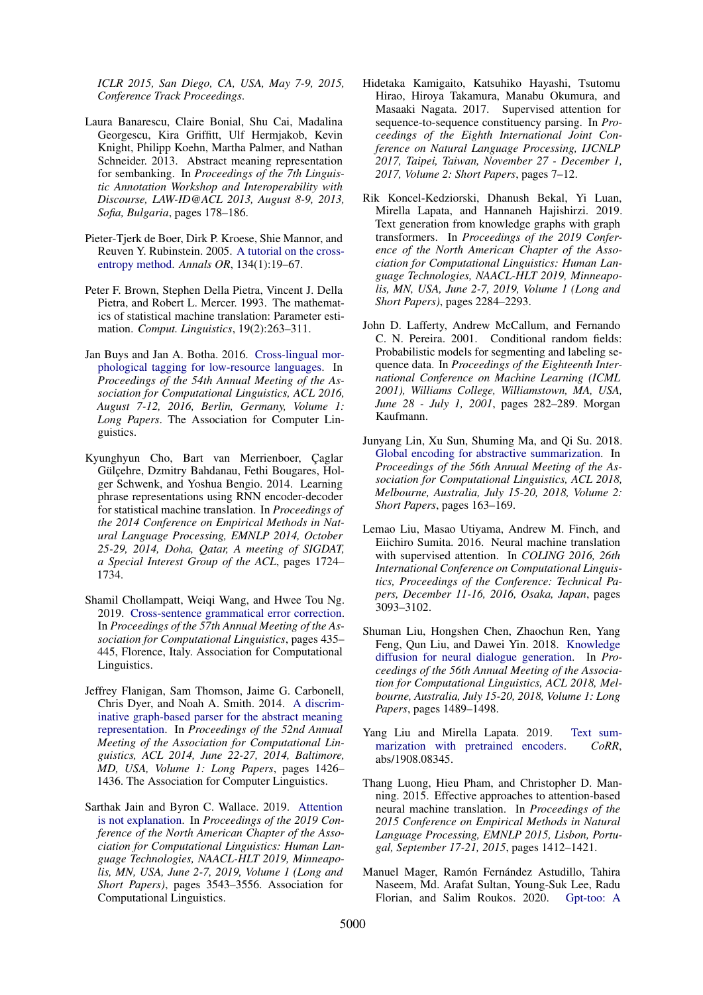*ICLR 2015, San Diego, CA, USA, May 7-9, 2015, Conference Track Proceedings*.

- <span id="page-9-15"></span>Laura Banarescu, Claire Bonial, Shu Cai, Madalina Georgescu, Kira Griffitt, Ulf Hermjakob, Kevin Knight, Philipp Koehn, Martha Palmer, and Nathan Schneider. 2013. Abstract meaning representation for sembanking. In *Proceedings of the 7th Linguistic Annotation Workshop and Interoperability with Discourse, LAW-ID@ACL 2013, August 8-9, 2013, Sofia, Bulgaria*, pages 178–186.
- <span id="page-9-14"></span>Pieter-Tjerk de Boer, Dirk P. Kroese, Shie Mannor, and Reuven Y. Rubinstein. 2005. [A tutorial on the cross](https://doi.org/10.1007/s10479-005-5724-z)[entropy method.](https://doi.org/10.1007/s10479-005-5724-z) *Annals OR*, 134(1):19–67.
- <span id="page-9-8"></span>Peter F. Brown, Stephen Della Pietra, Vincent J. Della Pietra, and Robert L. Mercer. 1993. The mathematics of statistical machine translation: Parameter estimation. *Comput. Linguistics*, 19(2):263–311.
- <span id="page-9-13"></span>Jan Buys and Jan A. Botha. 2016. [Cross-lingual mor](https://doi.org/10.18653/v1/p16-1184)[phological tagging for low-resource languages.](https://doi.org/10.18653/v1/p16-1184) In *Proceedings of the 54th Annual Meeting of the Association for Computational Linguistics, ACL 2016, August 7-12, 2016, Berlin, Germany, Volume 1: Long Papers*. The Association for Computer Linguistics.
- <span id="page-9-0"></span>Kyunghyun Cho, Bart van Merrienboer, Caglar Gülcehre, Dzmitry Bahdanau, Fethi Bougares, Holger Schwenk, and Yoshua Bengio. 2014. Learning phrase representations using RNN encoder-decoder for statistical machine translation. In *Proceedings of the 2014 Conference on Empirical Methods in Natural Language Processing, EMNLP 2014, October 25-29, 2014, Doha, Qatar, A meeting of SIGDAT, a Special Interest Group of the ACL*, pages 1724– 1734.
- <span id="page-9-16"></span>Shamil Chollampatt, Weiqi Wang, and Hwee Tou Ng. 2019. [Cross-sentence grammatical error correction.](https://doi.org/10.18653/v1/P19-1042) In *Proceedings of the 57th Annual Meeting of the Association for Computational Linguistics*, pages 435– 445, Florence, Italy. Association for Computational Linguistics.
- <span id="page-9-9"></span>Jeffrey Flanigan, Sam Thomson, Jaime G. Carbonell, Chris Dyer, and Noah A. Smith. 2014. [A discrim](https://doi.org/10.3115/v1/p14-1134)[inative graph-based parser for the abstract meaning](https://doi.org/10.3115/v1/p14-1134) [representation.](https://doi.org/10.3115/v1/p14-1134) In *Proceedings of the 52nd Annual Meeting of the Association for Computational Linguistics, ACL 2014, June 22-27, 2014, Baltimore, MD, USA, Volume 1: Long Papers*, pages 1426– 1436. The Association for Computer Linguistics.
- <span id="page-9-6"></span>Sarthak Jain and Byron C. Wallace. 2019. [Attention](https://doi.org/10.18653/v1/n19-1357) [is not explanation.](https://doi.org/10.18653/v1/n19-1357) In *Proceedings of the 2019 Conference of the North American Chapter of the Association for Computational Linguistics: Human Language Technologies, NAACL-HLT 2019, Minneapolis, MN, USA, June 2-7, 2019, Volume 1 (Long and Short Papers)*, pages 3543–3556. Association for Computational Linguistics.
- <span id="page-9-7"></span>Hidetaka Kamigaito, Katsuhiko Hayashi, Tsutomu Hirao, Hiroya Takamura, Manabu Okumura, and Masaaki Nagata. 2017. Supervised attention for sequence-to-sequence constituency parsing. In *Proceedings of the Eighth International Joint Conference on Natural Language Processing, IJCNLP 2017, Taipei, Taiwan, November 27 - December 1, 2017, Volume 2: Short Papers*, pages 7–12.
- <span id="page-9-10"></span>Rik Koncel-Kedziorski, Dhanush Bekal, Yi Luan, Mirella Lapata, and Hannaneh Hajishirzi. 2019. Text generation from knowledge graphs with graph transformers. In *Proceedings of the 2019 Conference of the North American Chapter of the Association for Computational Linguistics: Human Language Technologies, NAACL-HLT 2019, Minneapolis, MN, USA, June 2-7, 2019, Volume 1 (Long and Short Papers)*, pages 2284–2293.
- <span id="page-9-12"></span>John D. Lafferty, Andrew McCallum, and Fernando C. N. Pereira. 2001. Conditional random fields: Probabilistic models for segmenting and labeling sequence data. In *Proceedings of the Eighteenth International Conference on Machine Learning (ICML 2001), Williams College, Williamstown, MA, USA, June 28 - July 1, 2001*, pages 282–289. Morgan Kaufmann.
- <span id="page-9-4"></span>Junyang Lin, Xu Sun, Shuming Ma, and Qi Su. 2018. [Global encoding for abstractive summarization.](https://doi.org/10.18653/v1/P18-2027) In *Proceedings of the 56th Annual Meeting of the Association for Computational Linguistics, ACL 2018, Melbourne, Australia, July 15-20, 2018, Volume 2: Short Papers*, pages 163–169.
- <span id="page-9-2"></span>Lemao Liu, Masao Utiyama, Andrew M. Finch, and Eiichiro Sumita. 2016. Neural machine translation with supervised attention. In *COLING 2016, 26th International Conference on Computational Linguistics, Proceedings of the Conference: Technical Papers, December 11-16, 2016, Osaka, Japan*, pages 3093–3102.
- <span id="page-9-5"></span>Shuman Liu, Hongshen Chen, Zhaochun Ren, Yang Feng, Qun Liu, and Dawei Yin. 2018. [Knowledge](https://doi.org/10.18653/v1/P18-1138) [diffusion for neural dialogue generation.](https://doi.org/10.18653/v1/P18-1138) In *Proceedings of the 56th Annual Meeting of the Association for Computational Linguistics, ACL 2018, Melbourne, Australia, July 15-20, 2018, Volume 1: Long Papers*, pages 1489–1498.
- <span id="page-9-3"></span>Yang Liu and Mirella Lapata. 2019. [Text sum](http://arxiv.org/abs/1908.08345)[marization with pretrained encoders.](http://arxiv.org/abs/1908.08345) *CoRR*, abs/1908.08345.
- <span id="page-9-1"></span>Thang Luong, Hieu Pham, and Christopher D. Manning. 2015. Effective approaches to attention-based neural machine translation. In *Proceedings of the 2015 Conference on Empirical Methods in Natural Language Processing, EMNLP 2015, Lisbon, Portugal, September 17-21, 2015*, pages 1412–1421.
- <span id="page-9-11"></span>Manuel Mager, Ramón Fernández Astudillo, Tahira Naseem, Md. Arafat Sultan, Young-Suk Lee, Radu Florian, and Salim Roukos. 2020. [Gpt-too: A](http://arxiv.org/abs/2005.09123)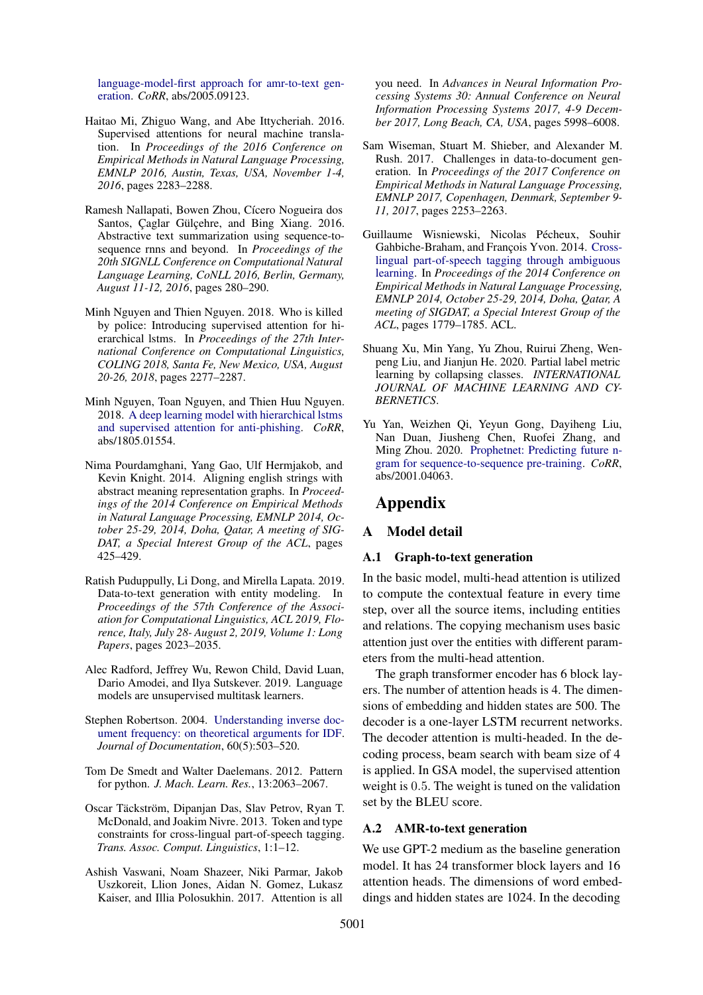[language-model-first approach for amr-to-text gen](http://arxiv.org/abs/2005.09123)[eration.](http://arxiv.org/abs/2005.09123) *CoRR*, abs/2005.09123.

- <span id="page-10-3"></span>Haitao Mi, Zhiguo Wang, and Abe Ittycheriah. 2016. Supervised attentions for neural machine translation. In *Proceedings of the 2016 Conference on Empirical Methods in Natural Language Processing, EMNLP 2016, Austin, Texas, USA, November 1-4, 2016*, pages 2283–2288.
- <span id="page-10-12"></span>Ramesh Nallapati, Bowen Zhou, Cícero Nogueira dos Santos, Çaglar Gülçehre, and Bing Xiang. 2016. Abstractive text summarization using sequence-tosequence rnns and beyond. In *Proceedings of the 20th SIGNLL Conference on Computational Natural Language Learning, CoNLL 2016, Berlin, Germany, August 11-12, 2016*, pages 280–290.
- <span id="page-10-5"></span>Minh Nguyen and Thien Nguyen. 2018. Who is killed by police: Introducing supervised attention for hierarchical lstms. In *Proceedings of the 27th International Conference on Computational Linguistics, COLING 2018, Santa Fe, New Mexico, USA, August 20-26, 2018*, pages 2277–2287.
- <span id="page-10-4"></span>Minh Nguyen, Toan Nguyen, and Thien Huu Nguyen. 2018. [A deep learning model with hierarchical lstms](http://arxiv.org/abs/1805.01554) [and supervised attention for anti-phishing.](http://arxiv.org/abs/1805.01554) *CoRR*, abs/1805.01554.
- <span id="page-10-6"></span>Nima Pourdamghani, Yang Gao, Ulf Hermjakob, and Kevin Knight. 2014. Aligning english strings with abstract meaning representation graphs. In *Proceedings of the 2014 Conference on Empirical Methods in Natural Language Processing, EMNLP 2014, October 25-29, 2014, Doha, Qatar, A meeting of SIG-DAT, a Special Interest Group of the ACL*, pages 425–429.
- <span id="page-10-2"></span>Ratish Puduppully, Li Dong, and Mirella Lapata. 2019. Data-to-text generation with entity modeling. In *Proceedings of the 57th Conference of the Association for Computational Linguistics, ACL 2019, Florence, Italy, July 28- August 2, 2019, Volume 1: Long Papers*, pages 2023–2035.
- <span id="page-10-11"></span>Alec Radford, Jeffrey Wu, Rewon Child, David Luan, Dario Amodei, and Ilya Sutskever. 2019. Language models are unsupervised multitask learners.
- <span id="page-10-13"></span>Stephen Robertson. 2004. [Understanding inverse doc](https://doi.org/10.1108/00220410410560582)[ument frequency: on theoretical arguments for IDF.](https://doi.org/10.1108/00220410410560582) *Journal of Documentation*, 60(5):503–520.
- <span id="page-10-14"></span>Tom De Smedt and Walter Daelemans. 2012. Pattern for python. *J. Mach. Learn. Res.*, 13:2063–2067.
- <span id="page-10-8"></span>Oscar Täckström, Dipanjan Das, Slav Petrov, Ryan T. McDonald, and Joakim Nivre. 2013. Token and type constraints for cross-lingual part-of-speech tagging. *Trans. Assoc. Comput. Linguistics*, 1:1–12.
- <span id="page-10-0"></span>Ashish Vaswani, Noam Shazeer, Niki Parmar, Jakob Uszkoreit, Llion Jones, Aidan N. Gomez, Lukasz Kaiser, and Illia Polosukhin. 2017. Attention is all

you need. In *Advances in Neural Information Processing Systems 30: Annual Conference on Neural Information Processing Systems 2017, 4-9 December 2017, Long Beach, CA, USA*, pages 5998–6008.

- <span id="page-10-1"></span>Sam Wiseman, Stuart M. Shieber, and Alexander M. Rush. 2017. Challenges in data-to-document generation. In *Proceedings of the 2017 Conference on Empirical Methods in Natural Language Processing, EMNLP 2017, Copenhagen, Denmark, September 9- 11, 2017*, pages 2253–2263.
- <span id="page-10-9"></span>Guillaume Wisniewski, Nicolas Pécheux, Souhir Gahbiche-Braham, and François Yvon. 2014. [Cross](https://doi.org/10.3115/v1/d14-1187)[lingual part-of-speech tagging through ambiguous](https://doi.org/10.3115/v1/d14-1187) [learning.](https://doi.org/10.3115/v1/d14-1187) In *Proceedings of the 2014 Conference on Empirical Methods in Natural Language Processing, EMNLP 2014, October 25-29, 2014, Doha, Qatar, A meeting of SIGDAT, a Special Interest Group of the ACL*, pages 1779–1785. ACL.
- <span id="page-10-10"></span>Shuang Xu, Min Yang, Yu Zhou, Ruirui Zheng, Wenpeng Liu, and Jianjun He. 2020. Partial label metric learning by collapsing classes. *INTERNATIONAL JOURNAL OF MACHINE LEARNING AND CY-BERNETICS*.
- <span id="page-10-7"></span>Yu Yan, Weizhen Qi, Yeyun Gong, Dayiheng Liu, Nan Duan, Jiusheng Chen, Ruofei Zhang, and Ming Zhou. 2020. [Prophetnet: Predicting future n](http://arxiv.org/abs/2001.04063)[gram for sequence-to-sequence pre-training.](http://arxiv.org/abs/2001.04063) *CoRR*, abs/2001.04063.

# Appendix

# A Model detail

#### A.1 Graph-to-text generation

In the basic model, multi-head attention is utilized to compute the contextual feature in every time step, over all the source items, including entities and relations. The copying mechanism uses basic attention just over the entities with different parameters from the multi-head attention.

The graph transformer encoder has 6 block layers. The number of attention heads is 4. The dimensions of embedding and hidden states are 500. The decoder is a one-layer LSTM recurrent networks. The decoder attention is multi-headed. In the decoding process, beam search with beam size of 4 is applied. In GSA model, the supervised attention weight is 0.5. The weight is tuned on the validation set by the BLEU score.

#### A.2 AMR-to-text generation

We use GPT-2 medium as the baseline generation model. It has 24 transformer block layers and 16 attention heads. The dimensions of word embeddings and hidden states are 1024. In the decoding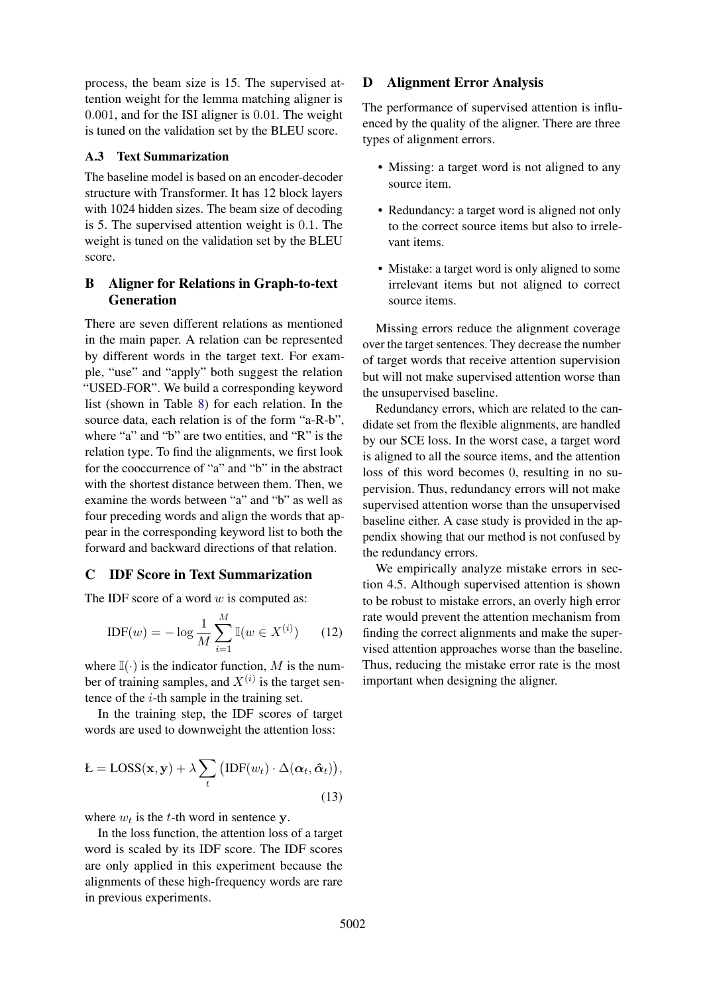process, the beam size is 15. The supervised attention weight for the lemma matching aligner is 0.001, and for the ISI aligner is 0.01. The weight is tuned on the validation set by the BLEU score.

# A.3 Text Summarization

The baseline model is based on an encoder-decoder structure with Transformer. It has 12 block layers with 1024 hidden sizes. The beam size of decoding is 5. The supervised attention weight is 0.1. The weight is tuned on the validation set by the BLEU score.

# B Aligner for Relations in Graph-to-text Generation

There are seven different relations as mentioned in the main paper. A relation can be represented by different words in the target text. For example, "use" and "apply" both suggest the relation "USED-FOR". We build a corresponding keyword list (shown in Table [8\)](#page-12-0) for each relation. In the source data, each relation is of the form "a-R-b", where "a" and "b" are two entities, and "R" is the relation type. To find the alignments, we first look for the cooccurrence of "a" and "b" in the abstract with the shortest distance between them. Then, we examine the words between "a" and "b" as well as four preceding words and align the words that appear in the corresponding keyword list to both the forward and backward directions of that relation.

# C IDF Score in Text Summarization

The IDF score of a word  $w$  is computed as:

$$
IDF(w) = -\log \frac{1}{M} \sum_{i=1}^{M} \mathbb{I}(w \in X^{(i)}) \qquad (12)
$$

where  $\mathbb{I}(\cdot)$  is the indicator function, M is the number of training samples, and  $X^{(i)}$  is the target sentence of the  $i$ -th sample in the training set.

In the training step, the IDF scores of target words are used to downweight the attention loss:

$$
\mathbf{L} = \text{Loss}(\mathbf{x}, \mathbf{y}) + \lambda \sum_{t} (\text{IDF}(w_t) \cdot \Delta(\boldsymbol{\alpha}_t, \hat{\boldsymbol{\alpha}}_t)),
$$
\n(13)

where  $w_t$  is the t-th word in sentence y.

In the loss function, the attention loss of a target word is scaled by its IDF score. The IDF scores are only applied in this experiment because the alignments of these high-frequency words are rare in previous experiments.

# D Alignment Error Analysis

The performance of supervised attention is influenced by the quality of the aligner. There are three types of alignment errors.

- Missing: a target word is not aligned to any source item.
- Redundancy: a target word is aligned not only to the correct source items but also to irrelevant items.
- Mistake: a target word is only aligned to some irrelevant items but not aligned to correct source items.

Missing errors reduce the alignment coverage over the target sentences. They decrease the number of target words that receive attention supervision but will not make supervised attention worse than the unsupervised baseline.

Redundancy errors, which are related to the candidate set from the flexible alignments, are handled by our SCE loss. In the worst case, a target word is aligned to all the source items, and the attention loss of this word becomes 0, resulting in no supervision. Thus, redundancy errors will not make supervised attention worse than the unsupervised baseline either. A case study is provided in the appendix showing that our method is not confused by the redundancy errors.

We empirically analyze mistake errors in section 4.5. Although supervised attention is shown to be robust to mistake errors, an overly high error rate would prevent the attention mechanism from finding the correct alignments and make the supervised attention approaches worse than the baseline. Thus, reducing the mistake error rate is the most important when designing the aligner.